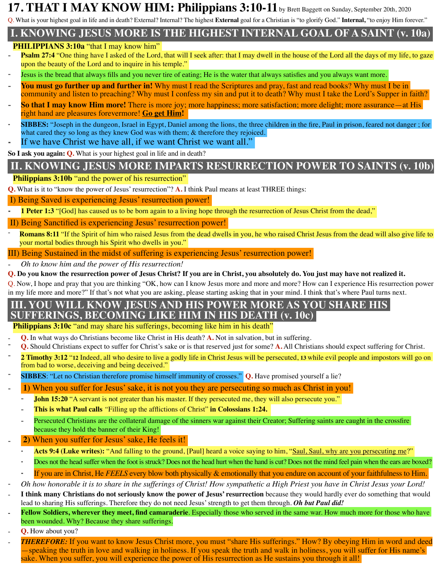# **17. THAT I MAY KNOW HIM: Philippians 3:10-11**by Brett Baggett on Sunday, September 20th, 2020

Q. What is your highest goal in life and in death? External? Internal? The highest **External** goal for a Christian is "to glorify God." **Internal,** "to enjoy Him forever."

# **I. KNOWING JESUS MORE IS THE HIGHEST INTERNAL GOAL OF A SAINT (v. 10a)**

#### **PHILIPPIANS 3:10a** "that I may know him"

- **Psalm 27:4** "One thing have I asked of the Lord, that will I seek after: that I may dwell in the house of the Lord all the days of my life, to gaze upon the beauty of the Lord and to inquire in his temple."
- Jesus is the bread that always fills and you never tire of eating; He is the water that always satisfies and you always want more.
- You must go further up and further in! Why must I read the Scriptures and pray, fast and read books? Why must I be in community and listen to preaching? Why must I confess my sin and put it to death? Why must I take the Lord's Supper in faith?
- **So that I may know Him more!** There is more joy; more happiness; more satisfaction; more delight; more assurance—at His right hand are pleasures forevermore! **Go get Him!**
- ⁃ **SIBBES:** "Joseph in the dungeon, Israel in Egypt, Daniel among the lions, the three children in the fire, Paul in prison, feared not danger ; for what cared they so long as they knew God was with them; & therefore they rejoiced.
- If we have Christ we have all, if we want Christ we want all."

**So I ask you again: Q.** What is your highest goal in life and in death?

# **II. KNOWING JESUS MORE IMPARTS RESURRECTION POWER TO SAINTS (v. 10b)**

#### **Philippians 3:10b** "and the power of his resurrection"

**Q.** What is it to "know the power of Jesus' resurrection"? **A.** I think Paul means at least THREE things:

I) Being Saved is experiencing Jesus' resurrection power!

**1 Peter 1:3** "[God] has caused us to be born again to a living hope through the resurrection of Jesus Christ from the dead,"

II) Being Sanctified is experiencing Jesus' resurrection power!

**Romans 8:11** "If the Spirit of him who raised Jesus from the dead dwells in you, he who raised Christ Jesus from the dead will also give life to your mortal bodies through his Spirit who dwells in you."

III) Being Sustained in the midst of suffering is experiencing Jesus' resurrection power!

⁃ *Oh to know him and the power of His resurrection!*

**Q. Do you know the resurrection power of Jesus Christ? If you are in Christ, you absolutely do. You just may have not realized it.**

Q. Now, I hope and pray that you are thinking "OK, how can I know Jesus more and more and more? How can I experience His resurrection power in my life more and more?" If that's not what you are asking, please starting asking that in your mind. I think that's where Paul turns next.

#### **III. YOU WILL KNOW JESUS AND HIS POWER MORE AS YOU SHARE HIS SUFFERINGS, BECOMING LIKE HIM IN HIS DEATH (v. 10c)**

**Philippians 3:10c** "and may share his sufferings, becoming like him in his death"

- **Q.** In what ways do Christians become like Christ in His death? **A.** Not in salvation, but in suffering.
- ⁃ **Q.** Should Christians expect to suffer for Christ's sake or is that reserved just for some? **A.** All Christians should expect suffering for Christ.
- ⁃ **2 Timothy 3:12** "**12** Indeed, all who desire to live a godly life in Christ Jesus will be persecuted, **<sup>13</sup>** while evil people and impostors will go on from bad to worse, deceiving and being deceived."
- ⁃ **SIBBES**: "Let no Christian therefore promise himself immunity of crosses." **Q.** Have promised yourself a lie?
- **1)** When you suffer for Jesus' sake, it is not you they are persecuting so much as Christ in you!
	- **John 15:20** "A servant is not greater than his master. If they persecuted me, they will also persecute you."
	- ⁃ **This is what Paul calls** *"*Filling up the afflictions of Christ" **in Colossians 1:24.**
	- Persecuted Christians are the collateral damage of the sinners war against their Creator; Suffering saints are caught in the crossfire because they hold the banner of their King!
- ⁃ **2)** When you suffer for Jesus' sake, He feels it!
	- Acts 9:4 (Luke writes): "And falling to the ground, [Paul] heard a voice saying to him, "Saul, Saul, why are you persecuting me?"
	- Does not the head suffer when the foot is struck? Does not the head hurt when the hand is cut? Does not the mind feel pain when the ears are boxed?
	- If you are in Christ, He *FEELS* every blow both physically & emotionally that you endure on account of your faithfulness to Him.
- ⁃ *Oh how honorable it is to share in the sufferings of Christ! How sympathetic a High Priest you have in Christ Jesus your Lord!*
- I think many Christians do not seriously know the power of Jesus' resurrection because they would hardly ever do something that would lead to sharing His sufferings. Therefore they do not need Jesus' strength to get them through. *Oh but Paul did!*
- **Fellow Soldiers, wherever they meet, find camaraderie**. Especially those who served in the same war. How much more for those who have been wounded. Why? Because they share sufferings.
- ⁃ **Q.** How about you?
- **THEREFORE:** If you want to know Jesus Christ more, you must "share His sufferings." How? By obeying Him in word and deed —speaking the truth in love and walking in holiness. If you speak the truth and walk in holiness, you will suffer for His name's sake. When you suffer, you will experience the power of His resurrection as He sustains you through it all!